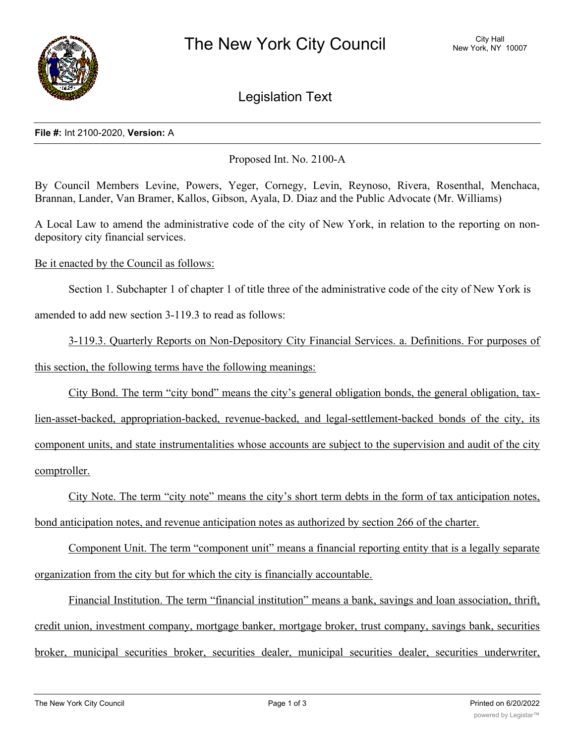

Legislation Text

## **File #:** Int 2100-2020, **Version:** A

Proposed Int. No. 2100-A

By Council Members Levine, Powers, Yeger, Cornegy, Levin, Reynoso, Rivera, Rosenthal, Menchaca, Brannan, Lander, Van Bramer, Kallos, Gibson, Ayala, D. Diaz and the Public Advocate (Mr. Williams)

A Local Law to amend the administrative code of the city of New York, in relation to the reporting on nondepository city financial services.

Be it enacted by the Council as follows:

Section 1. Subchapter 1 of chapter 1 of title three of the administrative code of the city of New York is

amended to add new section 3-119.3 to read as follows:

3-119.3. Quarterly Reports on Non-Depository City Financial Services. a. Definitions. For purposes of this section, the following terms have the following meanings:

City Bond. The term "city bond" means the city's general obligation bonds, the general obligation, tax-

lien-asset-backed, appropriation-backed, revenue-backed, and legal-settlement-backed bonds of the city, its component units, and state instrumentalities whose accounts are subject to the supervision and audit of the city comptroller.

City Note. The term "city note" means the city's short term debts in the form of tax anticipation notes, bond anticipation notes, and revenue anticipation notes as authorized by section 266 of the charter.

Component Unit. The term "component unit" means a financial reporting entity that is a legally separate organization from the city but for which the city is financially accountable.

Financial Institution. The term "financial institution" means a bank, savings and loan association, thrift, credit union, investment company, mortgage banker, mortgage broker, trust company, savings bank, securities broker, municipal securities broker, securities dealer, municipal securities dealer, securities underwriter,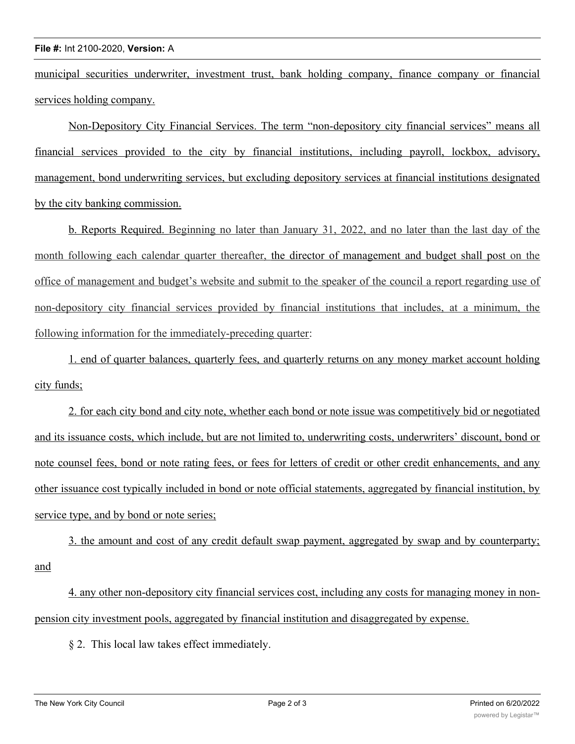## **File #:** Int 2100-2020, **Version:** A

municipal securities underwriter, investment trust, bank holding company, finance company or financial services holding company.

Non-Depository City Financial Services. The term "non-depository city financial services" means all financial services provided to the city by financial institutions, including payroll, lockbox, advisory, management, bond underwriting services, but excluding depository services at financial institutions designated by the city banking commission.

b. Reports Required. Beginning no later than January 31, 2022, and no later than the last day of the month following each calendar quarter thereafter, the director of management and budget shall post on the office of management and budget's website and submit to the speaker of the council a report regarding use of non-depository city financial services provided by financial institutions that includes, at a minimum, the following information for the immediately-preceding quarter:

1. end of quarter balances, quarterly fees, and quarterly returns on any money market account holding city funds;

2. for each city bond and city note, whether each bond or note issue was competitively bid or negotiated and its issuance costs, which include, but are not limited to, underwriting costs, underwriters' discount, bond or note counsel fees, bond or note rating fees, or fees for letters of credit or other credit enhancements, and any other issuance cost typically included in bond or note official statements, aggregated by financial institution, by service type, and by bond or note series;

3. the amount and cost of any credit default swap payment, aggregated by swap and by counterparty; and

4. any other non-depository city financial services cost, including any costs for managing money in nonpension city investment pools, aggregated by financial institution and disaggregated by expense.

§ 2. This local law takes effect immediately.